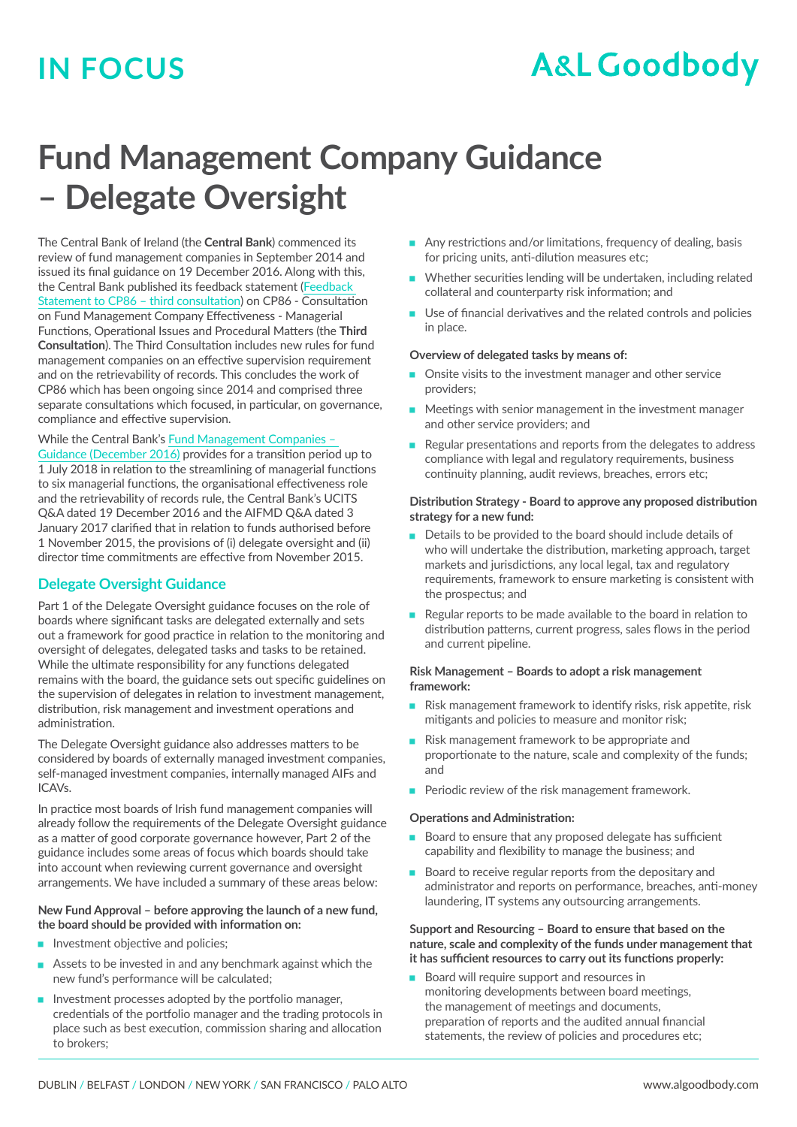# **IN FOCUS**

# **A&L Goodbody**

# **Fund Management Company Guidance – Delegate Oversight**

The Central Bank of Ireland (the **Central Bank**) commenced its review of fund management companies in September 2014 and issued its final guidance on 19 December 2016. Along with this, the Central Bank published its feedback statement ([Feedback](http://www.centralbank.ie/regulation/poldocs/consultation-papers/Documents/CP86%20Consultation%20Paper%20on%20Fund%20Management%20Company%20Effectiveness-Delegate%20Oversight/161219_CP86%20FEEDBACK%20STATEMENT_THIRD%20CONSULT_FINAL_RHD.pdf)  [Statement to CP86 – third consultation\)](http://www.centralbank.ie/regulation/poldocs/consultation-papers/Documents/CP86%20Consultation%20Paper%20on%20Fund%20Management%20Company%20Effectiveness-Delegate%20Oversight/161219_CP86%20FEEDBACK%20STATEMENT_THIRD%20CONSULT_FINAL_RHD.pdf) on CP86 - Consultation on Fund Management Company Effectiveness - Managerial Functions, Operational Issues and Procedural Matters (the **Third Consultation**). The Third Consultation includes new rules for fund management companies on an effective supervision requirement and on the retrievability of records. This concludes the work of CP86 which has been ongoing since 2014 and comprised three separate consultations which focused, in particular, on governance, compliance and effective supervision.

#### While the Central Bank's [Fund Management Companies –](https://www.centralbank.ie/regulation/marketsupdate/Documents/161219_FINAL FUND MANCOS GUIDANCE _CD (002).pdf)

[Guidance \(December 2016\)](https://www.centralbank.ie/regulation/marketsupdate/Documents/161219_FINAL FUND MANCOS GUIDANCE _CD (002).pdf) provides for a transition period up to 1 July 2018 in relation to the streamlining of managerial functions to six managerial functions, the organisational effectiveness role and the retrievability of records rule, the Central Bank's UCITS Q&A dated 19 December 2016 and the AIFMD Q&A dated 3 January 2017 clarified that in relation to funds authorised before 1 November 2015, the provisions of (i) delegate oversight and (ii) director time commitments are effective from November 2015.

#### **Delegate Oversight Guidance**

Part 1 of the Delegate Oversight guidance focuses on the role of boards where significant tasks are delegated externally and sets out a framework for good practice in relation to the monitoring and oversight of delegates, delegated tasks and tasks to be retained. While the ultimate responsibility for any functions delegated remains with the board, the guidance sets out specific guidelines on the supervision of delegates in relation to investment management, distribution, risk management and investment operations and administration.

The Delegate Oversight guidance also addresses matters to be considered by boards of externally managed investment companies, self-managed investment companies, internally managed AIFs and ICAVs.

In practice most boards of Irish fund management companies will already follow the requirements of the Delegate Oversight guidance as a matter of good corporate governance however, Part 2 of the guidance includes some areas of focus which boards should take into account when reviewing current governance and oversight arrangements. We have included a summary of these areas below:

#### **New Fund Approval – before approving the launch of a new fund, the board should be provided with information on:**

- $\blacksquare$  Investment objective and policies;
- $\blacksquare$  Assets to be invested in and any benchmark against which the new fund's performance will be calculated;
- Investment processes adopted by the portfolio manager, credentials of the portfolio manager and the trading protocols in place such as best execution, commission sharing and allocation to brokers;
- Any restrictions and/or limitations, frequency of dealing, basis for pricing units, anti-dilution measures etc;
- $\blacksquare$  Whether securities lending will be undertaken, including related collateral and counterparty risk information; and
- $\blacksquare$  Use of financial derivatives and the related controls and policies in place.

#### **Overview of delegated tasks by means of:**

- Onsite visits to the investment manager and other service providers;
- $\blacksquare$  Meetings with senior management in the investment manager and other service providers; and
- $\blacksquare$  Regular presentations and reports from the delegates to address compliance with legal and regulatory requirements, business continuity planning, audit reviews, breaches, errors etc;

#### **Distribution Strategy - Board to approve any proposed distribution strategy for a new fund:**

- $\blacksquare$  Details to be provided to the board should include details of who will undertake the distribution, marketing approach, target markets and jurisdictions, any local legal, tax and regulatory requirements, framework to ensure marketing is consistent with the prospectus; and
- $\blacksquare$  Regular reports to be made available to the board in relation to distribution patterns, current progress, sales flows in the period and current pipeline.

#### **Risk Management – Boards to adopt a risk management framework:**

- Risk management framework to identify risks, risk appetite, risk mitigants and policies to measure and monitor risk;
- $\blacksquare$  Risk management framework to be appropriate and proportionate to the nature, scale and complexity of the funds; and
- $\blacksquare$  Periodic review of the risk management framework.

#### **Operations and Administration:**

- $\blacksquare$  Board to ensure that any proposed delegate has sufficient capability and flexibility to manage the business; and
- $\blacksquare$  Board to receive regular reports from the depositary and administrator and reports on performance, breaches, anti-money laundering, IT systems any outsourcing arrangements.

#### **Support and Resourcing – Board to ensure that based on the nature, scale and complexity of the funds under management that it has sufficient resources to carry out its functions properly:**

 $\blacksquare$  Board will require support and resources in monitoring developments between board meetings, the management of meetings and documents, preparation of reports and the audited annual financial statements, the review of policies and procedures etc;